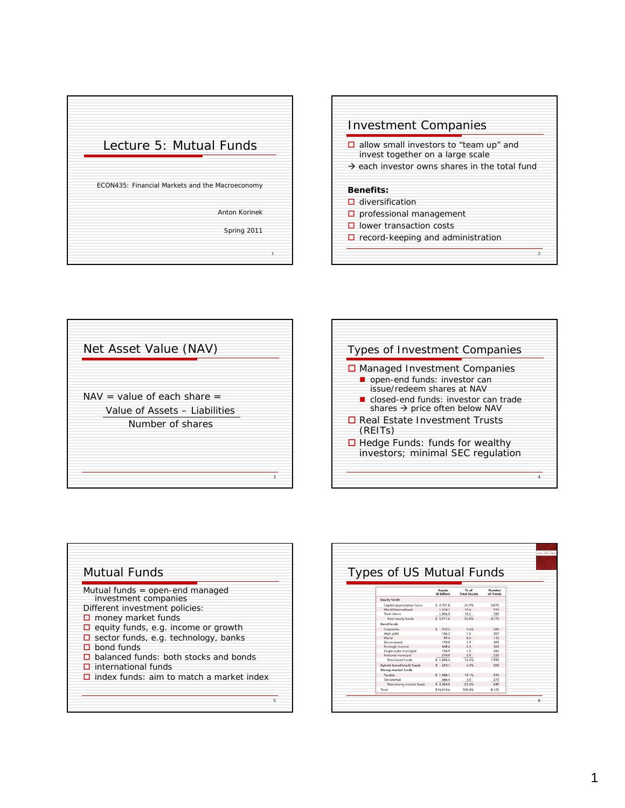





| Types of Investment Companies<br>$\Box$ Managed Investment Companies<br>open-end funds: investor can<br>issue/redeem shares at NAV<br>■ closed-end funds: investor can trade<br>shares $\rightarrow$ price often below NAV<br>□ Real Estate Investment Trusts<br>(REITS)<br>$\Box$ Hedge Funds: funds for wealthy |
|-------------------------------------------------------------------------------------------------------------------------------------------------------------------------------------------------------------------------------------------------------------------------------------------------------------------|
|                                                                                                                                                                                                                                                                                                                   |
|                                                                                                                                                                                                                                                                                                                   |
|                                                                                                                                                                                                                                                                                                                   |
|                                                                                                                                                                                                                                                                                                                   |
|                                                                                                                                                                                                                                                                                                                   |
|                                                                                                                                                                                                                                                                                                                   |
|                                                                                                                                                                                                                                                                                                                   |
|                                                                                                                                                                                                                                                                                                                   |
| investors; minimal SEC regulation                                                                                                                                                                                                                                                                                 |
|                                                                                                                                                                                                                                                                                                                   |
|                                                                                                                                                                                                                                                                                                                   |

| Mutual funds = open-end managed                 |
|-------------------------------------------------|
| investment companies                            |
| Different investment policies:                  |
| $\Box$ money market funds                       |
| $\Box$ equity funds, e.g. income or growth      |
| $\Box$ sector funds, e.g. technology, banks     |
| $\Box$ bond funds                               |
| $\Box$ balanced funds: both stocks and bonds    |
| $\square$ international funds                   |
| $\Box$ index funds: aim to match a market index |

| Types of US Mutual Funds   |                               |                               |                    |
|----------------------------|-------------------------------|-------------------------------|--------------------|
|                            |                               |                               |                    |
|                            | <b>Assets</b><br>(\$ billion) | $%$ of<br><b>Total Assets</b> | Number<br>of Funds |
| <b>Equity funds</b>        |                               |                               |                    |
| Capital appreciation focus | \$ 2,701.0                    | 25.9%                         | 3,070              |
| World/international        | 1.314.1                       | 12.6                          | 915                |
| Total return               | 1.896.5                       | 18.2                          | 785                |
| Total equity funds         | \$5,911.6                     | 56.8%                         | 4.770              |
| <b>Bond funds</b>          |                               |                               |                    |
| Corporate                  | 272.2<br>$\mathsf{S}$         | 2.6%                          | 289                |
| High yield                 | 156.2                         | 1.5                           | 207                |
| World                      | 59.4                          | 0.6                           | 113                |
| Government                 | 193.0                         | 1.9                           | 309                |
| Strategic income           | 448.6                         | 4.3                           | 364                |
| Single-state municipal     | 154.9                         | 1.5                           | 481                |
| National municipal         | 210.0                         | 2.0                           | 230                |
| Total bond funds           | \$1,494.4                     | 14.4%                         | 1,993              |
| Hybrid (bond/stock) funds  | \$653.1                       | 6.3%                          | 508                |
| Money market funds         |                               |                               |                    |
| Taxable                    | \$1.988.1                     | 19.1%                         | 576                |
| Tax-exempt                 | 366.4                         | 3.5                           | 273                |
| Total money market funds   | \$2.354.5                     | 22.6%                         | 849                |
| Total                      | \$10.413.6                    | 100.0%                        | 8.120              |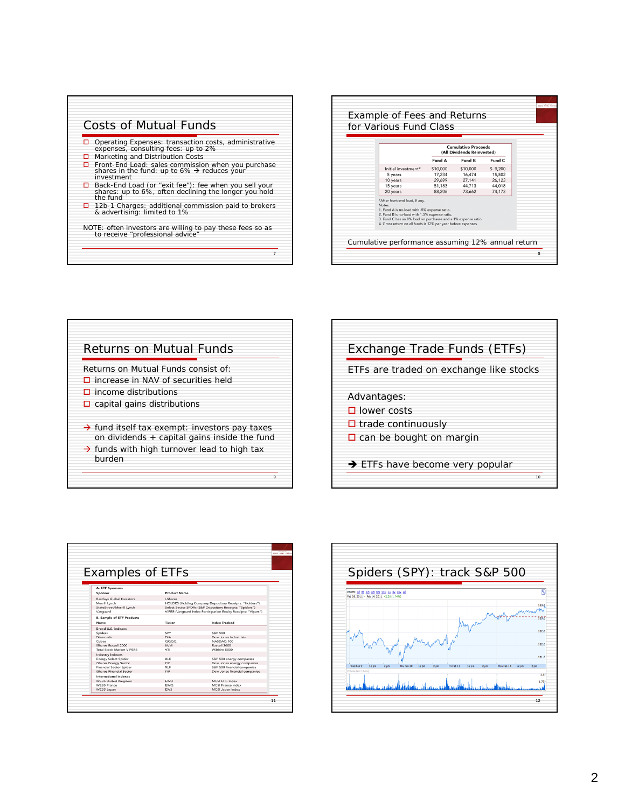

|                                                                                                                                                                                                                                                                             | <b>Cumulative Proceeds</b> |                            |                  |  |
|-----------------------------------------------------------------------------------------------------------------------------------------------------------------------------------------------------------------------------------------------------------------------------|----------------------------|----------------------------|------------------|--|
|                                                                                                                                                                                                                                                                             |                            | (All Dividends Reinvested) |                  |  |
|                                                                                                                                                                                                                                                                             | Fund A                     | Fund B                     | Fund C           |  |
| Initial investment*                                                                                                                                                                                                                                                         | \$10,000                   | \$10,000                   | \$9,200          |  |
| 5 years                                                                                                                                                                                                                                                                     | 17.234<br>29.699           | 16.474<br>27.141           | 15,502<br>26.123 |  |
| 10 years<br>15 years                                                                                                                                                                                                                                                        | 51,183                     | 44,713                     | 44,018           |  |
| 20 years                                                                                                                                                                                                                                                                    | 88,206                     | 73,662                     | 74,173           |  |
| *After front-end load, if any,<br>Notes:<br>1. Fund A is no-load with .5% expense ratio.<br>2. Fund B is no-load with 1.5% expense ratio.<br>3. Fund C has an 8% load on purchases and a 1% expense ratio.<br>4. Gross return on all funds is 12% per year before expenses. |                            |                            |                  |  |



| Exchange Trade Funds (ETFs)                 |
|---------------------------------------------|
| ETFs are traded on exchange like stocks     |
| Advantages:                                 |
| $\Box$ lower costs                          |
| $\Box$ trade continuously                   |
| $\Box$ can be bought on margin              |
| $\rightarrow$ ETFs have become very popular |
| 10                                          |

| <b>Examples of ETFs</b>          |                                                                |                                                         |  |  |  |
|----------------------------------|----------------------------------------------------------------|---------------------------------------------------------|--|--|--|
|                                  |                                                                |                                                         |  |  |  |
|                                  |                                                                |                                                         |  |  |  |
| A. ETF Sponsors                  |                                                                |                                                         |  |  |  |
| Sponsor                          | <b>Product Name</b>                                            |                                                         |  |  |  |
| <b>Barclays Global Investors</b> | <b>LShares</b>                                                 |                                                         |  |  |  |
| Merrill Lynch                    |                                                                | HOLDRS (Holding Company Depository Receipts: "Holders") |  |  |  |
| StateStreet/Merrill Lynch        | Select Sector SPDRs (S&P Depository Receipts: "Spiders")       |                                                         |  |  |  |
| Vanguard                         | VIPER (Vanguard Index Participation Equity Receipts: "Vipers") |                                                         |  |  |  |
| <b>B. Sample of ETF Products</b> |                                                                |                                                         |  |  |  |
| Name                             | Ticker                                                         | <b>Index Tracked</b>                                    |  |  |  |
| Broad U.S. indexes               |                                                                |                                                         |  |  |  |
| Spiders                          | SPY                                                            | <b>S&amp;P 500</b>                                      |  |  |  |
| <b>Diamonds</b>                  | DIA                                                            | Dow Jones Industrials                                   |  |  |  |
| Cubes                            | 0000                                                           | NASDAO 100                                              |  |  |  |
| Shares Russell 2000              | <b>IWM</b>                                                     | Russell 2000                                            |  |  |  |
| <b>Total Stock Market VIPERS</b> | VTI                                                            | Wilshire 5000                                           |  |  |  |
| <b>Industry indexes</b>          |                                                                |                                                         |  |  |  |
| <b>Energy Select Spider</b>      | XLE                                                            | S&P 500 energy companies                                |  |  |  |
| iShares Energy Sector            | <b>IYE</b>                                                     | Dow Jones energy companies                              |  |  |  |
| <b>Financial Sector Spider</b>   | <b>XLF</b>                                                     | S&P 500 financial companies                             |  |  |  |
| <b>Shares Financial Sector</b>   | <b>IYF</b>                                                     | Dow Jones financial companies                           |  |  |  |
| International indexes            |                                                                |                                                         |  |  |  |
| <b>WEBS United Kingdom</b>       | <b>EWU</b>                                                     | MCSLU.K. Index                                          |  |  |  |
| <b>WEBS France</b>               | <b>EWQ</b>                                                     | <b>MCSI France Index</b>                                |  |  |  |
| <b>WEBS Japan</b>                | <b>EWJ</b>                                                     | MCSI Japan Index                                        |  |  |  |
|                                  |                                                                |                                                         |  |  |  |